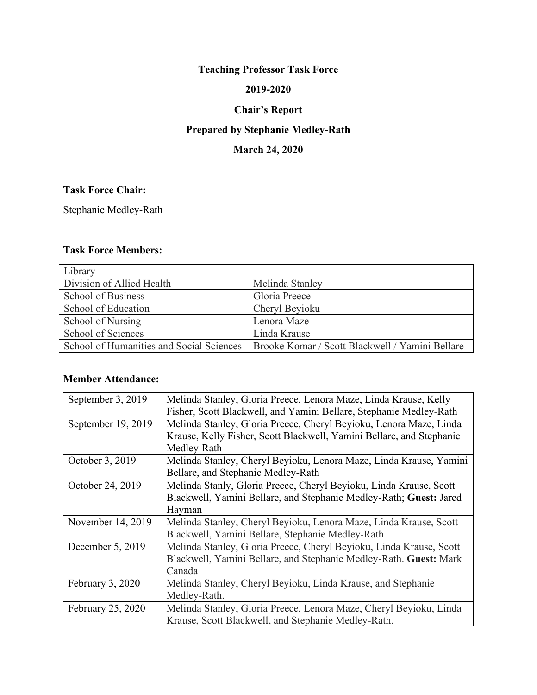# **Teaching Professor Task Force**

#### **2019-2020**

## **Chair's Report**

# **Prepared by Stephanie Medley-Rath**

# **March 24, 2020**

## **Task Force Chair:**

Stephanie Medley-Rath

#### **Task Force Members:**

| Library                                  |                                                 |
|------------------------------------------|-------------------------------------------------|
| Division of Allied Health                | Melinda Stanley                                 |
| School of Business                       | Gloria Preece                                   |
| School of Education                      | Cheryl Beyioku                                  |
| School of Nursing                        | Lenora Maze                                     |
| School of Sciences                       | Linda Krause                                    |
| School of Humanities and Social Sciences | Brooke Komar / Scott Blackwell / Yamini Bellare |

#### **Member Attendance:**

| September 3, 2019  | Melinda Stanley, Gloria Preece, Lenora Maze, Linda Krause, Kelly     |
|--------------------|----------------------------------------------------------------------|
|                    | Fisher, Scott Blackwell, and Yamini Bellare, Stephanie Medley-Rath   |
| September 19, 2019 | Melinda Stanley, Gloria Preece, Cheryl Beyioku, Lenora Maze, Linda   |
|                    | Krause, Kelly Fisher, Scott Blackwell, Yamini Bellare, and Stephanie |
|                    | Medley-Rath                                                          |
| October 3, 2019    | Melinda Stanley, Cheryl Beyioku, Lenora Maze, Linda Krause, Yamini   |
|                    | Bellare, and Stephanie Medley-Rath                                   |
| October 24, 2019   | Melinda Stanly, Gloria Preece, Cheryl Beyioku, Linda Krause, Scott   |
|                    | Blackwell, Yamini Bellare, and Stephanie Medley-Rath; Guest: Jared   |
|                    | Hayman                                                               |
| November 14, 2019  | Melinda Stanley, Cheryl Beyioku, Lenora Maze, Linda Krause, Scott    |
|                    | Blackwell, Yamini Bellare, Stephanie Medley-Rath                     |
| December 5, 2019   | Melinda Stanley, Gloria Preece, Cheryl Beyioku, Linda Krause, Scott  |
|                    | Blackwell, Yamini Bellare, and Stephanie Medley-Rath. Guest: Mark    |
|                    | Canada                                                               |
| February 3, 2020   | Melinda Stanley, Cheryl Beyioku, Linda Krause, and Stephanie         |
|                    | Medley-Rath.                                                         |
| February 25, 2020  | Melinda Stanley, Gloria Preece, Lenora Maze, Cheryl Beyioku, Linda   |
|                    | Krause, Scott Blackwell, and Stephanie Medley-Rath.                  |